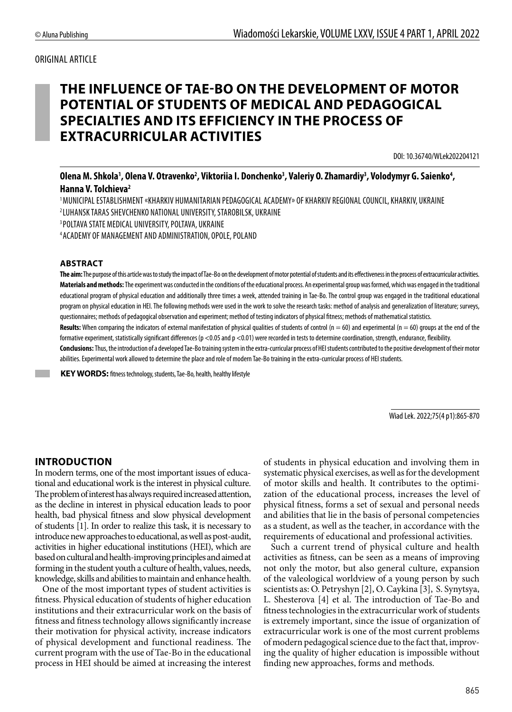## ORIGINAL ARTICLE

# **THE INFLUENCE OF TAE-BO ON THE DEVELOPMENT OF MOTOR POTENTIAL OF STUDENTS OF MEDICAL AND PEDAGOGICAL SPECIALTIES AND ITS EFFICIENCY IN THE PROCESS OF EXTRACURRICULAR ACTIVITIES**

DOI: 10.36740/WLek202204121

## Olena M. Shkola<sup>1</sup>, Olena V. Otravenko<sup>2</sup>, Viktoriia I. Donchenko<sup>3</sup>, Valeriy O. Zhamardiy<sup>3</sup>, Volodymyr G. Saienko<sup>4</sup>, **Hanna V. Tolchieva2**

1 MUNICIPAL ESTABLISHMENT «KHARKIV HUMANITARIAN PEDAGOGICAL ACADEMY» OF KHARKIV REGIONAL COUNCIL, KHARKIV, UKRAINE 2 LUHANSK TARAS SHEVCHENKO NATIONAL UNIVERSITY, STAROBILSK, UKRAINE

3 POLTAVA STATE MEDICAL UNIVERSITY, POLTAVA, UKRAINE

4 ACADEMY OF MANAGEMENT AND ADMINISTRATION, OPOLE, POLAND

#### **ABSTRACT**

**The aim:** The purpose of this article was to study the impact of Tae-Bo on the development of motor potential of students and its effectiveness in the process of extracurricular activities. **Materials and methods:** The experiment was conducted in the conditions of the educational process. An experimental group was formed, which was engaged in the traditional educational program of physical education and additionally three times a week, attended training in Tae-Bo. The control group was engaged in the traditional educational program on physical education in HEI. The following methods were used in the work to solve the research tasks: method of analysis and generalization of literature; surveys, questionnaires; methods of pedagogical observation and experiment; method of testing indicators of physical fitness; methods of mathematical statistics.

Results: When comparing the indicators of external manifestation of physical qualities of students of control (n = 60) and experimental (n = 60) groups at the end of the formative experiment, statistically significant differences (p <0.05 and p <0.01) were recorded in tests to determine coordination, strength, endurance, flexibility.

**Conclusions:**Thus, the introduction of a developed Tae-Bo training system in the extra-curricular process of HEI students contributed to the positive development of their motor abilities. Experimental work allowed to determine the place and role of modern Tae-Bo training in the extra-curricular process of HEI students.

**KEY WORDS:** fitness technology, students, Tae-Bo, health, healthy lifestyle

Wiad Lek. 2022;75(4 p1):865-870

## **INTRODUCTION**

In modern terms, one of the most important issues of educational and educational work is the interest in physical culture. The problem of interest has always required increased attention, as the decline in interest in physical education leads to poor health, bad physical fitness and slow physical development of students [1]. In order to realize this task, it is necessary to introduce new approaches to educational, as well as post-audit, activities in higher educational institutions (HEI), which are based on cultural and health-improving principles and aimed at forming in the student youth a culture of health, values, needs, knowledge, skills and abilities to maintain and enhance health.

One of the most important types of student activities is fitness. Physical education of students of higher education institutions and their extracurricular work on the basis of fitness and fitness technology allows significantly increase their motivation for physical activity, increase indicators of physical development and functional readiness. The current program with the use of Tae-Bo in the educational process in HEI should be aimed at increasing the interest of students in physical education and involving them in systematic physical exercises, as well as for the development of motor skills and health. It contributes to the optimization of the educational process, increases the level of physical fitness, forms a set of sexual and personal needs and abilities that lie in the basis of personal competencies as a student, as well as the teacher, in accordance with the requirements of educational and professional activities.

Such a current trend of physical culture and health activities as fitness, can be seen as a means of improving not only the motor, but also general culture, expansion of the valeological worldview of a young person by such scientists as: O. Petryshyn [2], O. Caykina [3], S. Synytsya, L. Shesterova [4] et al. The introduction of Tae-Bo and fitness technologies in the extracurricular work of students is extremely important, since the issue of organization of extracurricular work is one of the most current problems of modern pedagogical science due to the fact that, improving the quality of higher education is impossible without finding new approaches, forms and methods.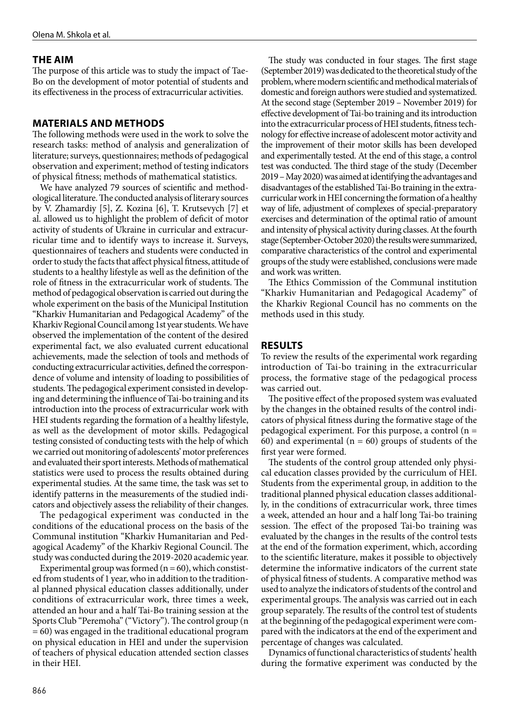## **THE AIM**

The purpose of this article was to study the impact of Tae-Bo on the development of motor potential of students and its effectiveness in the process of extracurricular activities.

## **MATERIALS AND METHODS**

The following methods were used in the work to solve the research tasks: method of analysis and generalization of literature; surveys, questionnaires; methods of pedagogical observation and experiment; method of testing indicators of physical fitness; methods of mathematical statistics.

We have analyzed 79 sources of scientific and methodological literature. The conducted analysis of literary sources by V. Zhamardiy [5], Z. Kozina [6], T. Krutsevych [7] et al. allowed us to highlight the problem of deficit of motor activity of students of Ukraine in curricular and extracurricular time and to identify ways to increase it. Surveys, questionnaires of teachers and students were conducted in order to study the facts that affect physical fitness, attitude of students to a healthy lifestyle as well as the definition of the role of fitness in the extracurricular work of students. The method of pedagogical observation is carried out during the whole experiment on the basis of the Municipal Institution "Kharkiv Humanitarian and Pedagogical Academy" of the Kharkiv Regional Council among 1st year students. We have observed the implementation of the content of the desired experimental fact, we also evaluated current educational achievements, made the selection of tools and methods of conducting extracurricular activities, defined the correspondence of volume and intensity of loading to possibilities of students. The pedagogical experiment consisted in developing and determining the influence of Tai-bo training and its introduction into the process of extracurricular work with HEI students regarding the formation of a healthy lifestyle, as well as the development of motor skills. Pedagogical testing consisted of conducting tests with the help of which we carried out monitoring of adolescents' motor preferences and evaluated their sport interests. Methods of mathematical statistics were used to process the results obtained during experimental studies. At the same time, the task was set to identify patterns in the measurements of the studied indicators and objectively assess the reliability of their changes.

The pedagogical experiment was conducted in the conditions of the educational process on the basis of the Communal institution "Kharkiv Humanitarian and Pedagogical Academy" of the Kharkiv Regional Council. The study was conducted during the 2019-2020 academic year.

Experimental group was formed  $(n = 60)$ , which constisted from students of 1 year, who in addition to the traditional planned physical education classes additionally, under conditions of extracurricular work, three times a week, attended an hour and a half Tai-Bo training session at the Sports Club "Peremoha" ("Victory"). The control group (n = 60) was engaged in the traditional educational program on physical education in HEI and under the supervision of teachers of physical education attended section classes in their HEI.

The study was conducted in four stages. The first stage (September 2019) was dedicated to the theoretical study of the problem, where modern scientific and methodical materials of domestic and foreign authors were studied and systematized. At the second stage (September 2019 – November 2019) for effective development of Tai-bo training and its introduction into the extracurricular process of HEI students, fitness technology for effective increase of adolescent motor activity and the improvement of their motor skills has been developed and experimentally tested. At the end of this stage, a control test was conducted. The third stage of the study (December 2019 – May 2020) was aimed at identifying the advantages and disadvantages of the established Tai-Bo training in the extracurricular work in HEI concerning the formation of a healthy way of life, adjustment of complexes of special-preparatory exercises and determination of the optimal ratio of amount and intensity of physical activity during classes. At the fourth stage (September-October 2020) the results were summarized, comparative characteristics of the control and experimental groups of the study were established, conclusions were made and work was written.

The Ethics Commission of the Communal institution "Kharkiv Humanitarian and Pedagogical Academy" of the Kharkiv Regional Council has no comments on the methods used in this study.

### **RESULTS**

To review the results of the experimental work regarding introduction of Tai-bo training in the extracurricular process, the formative stage of the pedagogical process was carried out.

The positive effect of the proposed system was evaluated by the changes in the obtained results of the control indicators of physical fitness during the formative stage of the pedagogical experiment. For this purpose, a control  $(n =$ 60) and experimental ( $n = 60$ ) groups of students of the first year were formed.

The students of the control group attended only physical education classes provided by the curriculum of HEI. Students from the experimental group, in addition to the traditional planned physical education classes additionally, in the conditions of extracurricular work, three times a week, attended an hour and a half long Tai-bo training session. The effect of the proposed Tai-bo training was evaluated by the changes in the results of the control tests at the end of the formation experiment, which, according to the scientific literature, makes it possible to objectively determine the informative indicators of the current state of physical fitness of students. A comparative method was used to analyze the indicators of students of the control and experimental groups. The analysis was carried out in each group separately. The results of the control test of students at the beginning of the pedagogical experiment were compared with the indicators at the end of the experiment and percentage of changes was calculated.

Dynamics of functional characteristics of students' health during the formative experiment was conducted by the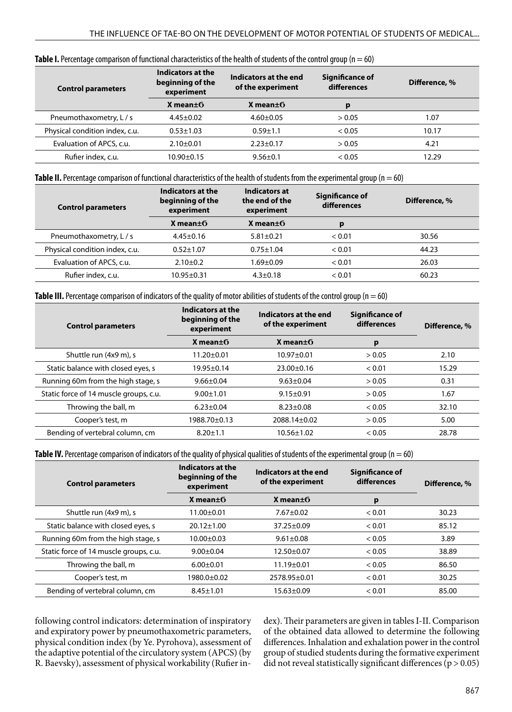| <b>Control parameters</b>      | Indicators at the<br>beginning of the<br>experiment | Indicators at the end<br>of the experiment | Significance of<br>differences | Difference, % |
|--------------------------------|-----------------------------------------------------|--------------------------------------------|--------------------------------|---------------|
|                                | X mean $\pm$ 6                                      | $X$ mean $\pm$ <sup>6</sup>                | p                              |               |
| Pneumothaxometry, L / s        | $4.45 \pm 0.02$                                     | $4.60 \pm 0.05$                            | > 0.05                         | 1.07          |
| Physical condition index, c.u. | $0.53 \pm 1.03$                                     | $0.59 \pm 1.1$                             | < 0.05                         | 10.17         |
| Evaluation of APCS, c.u.       | $2.10 \pm 0.01$                                     | $2.23 \pm 0.17$                            | > 0.05                         | 4.21          |
| Rufier index, c.u.             | 10.90±0.15                                          | $9.56 \pm 0.1$                             | < 0.05                         | 12.29         |

#### **Table I.** Percentage comparison of functional characteristics of the health of students of the control group (n = 60)

**Table II.** Percentage comparison of functional characteristics of the health of students from the experimental group (n = 60)

| <b>Control parameters</b>      | Indicators at the<br>beginning of the<br>experiment | Indicators at<br>the end of the<br>experiment | Significance of<br>differences | Difference, % |
|--------------------------------|-----------------------------------------------------|-----------------------------------------------|--------------------------------|---------------|
|                                | X mean $\pm$ 6                                      | X mean $\pm$ <sup>6</sup>                     | p                              |               |
| Pneumothaxometry, L / s        | $4.45 \pm 0.16$                                     | $5.81 \pm 0.21$                               | < 0.01                         | 30.56         |
| Physical condition index, c.u. | $0.52 \pm 1.07$                                     | $0.75 \pm 1.04$                               | < 0.01                         | 44.23         |
| Evaluation of APCS, c.u.       | $2.10+0.2$                                          | l.69±0.09                                     | < 0.01                         | 26.03         |
| Rufier index, c.u.             | $10.95 \pm 0.31$                                    | $4.3 \pm 0.18$                                | < 0.01                         | 60.23         |

**Table III.** Percentage comparison of indicators of the quality of motor abilities of students of the control group ( $n = 60$ )

| <b>Control parameters</b>              | Indicators at the<br>Indicators at the end<br>beginning of the<br>of the experiment<br>experiment |                  | Significance of<br>differences | Difference, % |
|----------------------------------------|---------------------------------------------------------------------------------------------------|------------------|--------------------------------|---------------|
|                                        | $X$ mean $\pm$ <sup>6</sup>                                                                       | X mean $\pm$ 6   | р                              |               |
| Shuttle run (4x9 m), s                 | $11.20 \pm 0.01$                                                                                  | $10.97 \pm 0.01$ | > 0.05                         | 2.10          |
| Static balance with closed eyes, s     | $19.95 \pm 0.14$                                                                                  | $23.00 \pm 0.16$ | < 0.01                         | 15.29         |
| Running 60m from the high stage, s     | $9.66 \pm 0.04$                                                                                   | $9.63 \pm 0.04$  | > 0.05                         | 0.31          |
| Static force of 14 muscle groups, c.u. | $9.00 \pm 1.01$                                                                                   | $9.15 \pm 0.91$  | > 0.05                         | 1.67          |
| Throwing the ball, m                   | $6.23 \pm 0.04$                                                                                   | $8.23 \pm 0.08$  | < 0.05                         | 32.10         |
| Cooper's test, m                       | 1988.70±0.13                                                                                      | 2088.14±0.02     | > 0.05                         | 5.00          |
| Bending of vertebral column, cm        | $8.20 \pm 1.1$                                                                                    | $10.56 \pm 1.02$ | < 0.05                         | 28.78         |

**Table IV.** Percentage comparison of indicators of the quality of physical qualities of students of the experimental group (n = 60)

| <b>Control parameters</b>              | Indicators at the<br>beginning of the<br>experiment | Indicators at the end<br>of the experiment | Significance of<br>differences | Difference, % |
|----------------------------------------|-----------------------------------------------------|--------------------------------------------|--------------------------------|---------------|
|                                        | X mean $\pm$ 6                                      | $X$ mean $\pm$ 6                           | p                              |               |
| Shuttle run (4x9 m), s                 | $11.00 \pm 0.01$                                    | $7.67 \pm 0.02$                            | < 0.01                         | 30.23         |
| Static balance with closed eyes, s     | $20.12 \pm 1.00$                                    | $37.25 \pm 0.09$                           | < 0.01                         | 85.12         |
| Running 60m from the high stage, s     | $10.00 \pm 0.03$                                    | $9.61 \pm 0.08$                            | ${}_{< 0.05}$                  | 3.89          |
| Static force of 14 muscle groups, c.u. | $9.00 \pm 0.04$                                     | $12.50 \pm 0.07$                           | < 0.05                         | 38.89         |
| Throwing the ball, m                   | $6.00+0.01$                                         | $11.19 \pm 0.01$                           | ${}_{< 0.05}$                  | 86.50         |
| Cooper's test, m                       | 1980.0±0.02                                         | 2578.95±0.01                               | < 0.01                         | 30.25         |
| Bending of vertebral column, cm        | $8.45 \pm 1.01$                                     | $15.63 \pm 0.09$                           | < 0.01                         | 85.00         |

following control indicators: determination of inspiratory and expiratory power by pneumothaxometric parameters, physical condition index (by Ye. Pyrohova), assessment of the adaptive potential of the circulatory system (APCS) (by R. Baevsky), assessment of physical workability (Rufier index). Their parameters are given in tables I-II. Comparison of the obtained data allowed to determine the following differences. Inhalation and exhalation power in the control group of studied students during the formative experiment did not reveal statistically significant differences ( $p > 0.05$ )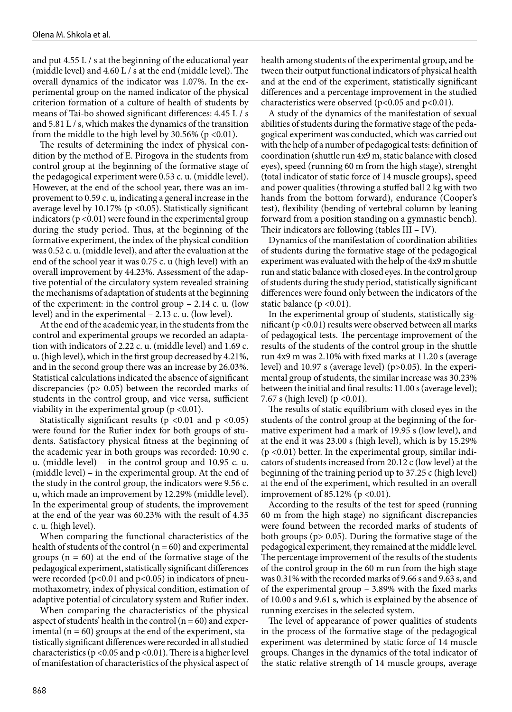and put 4.55 L / s at the beginning of the educational year (middle level) and 4.60 L / s at the end (middle level). The overall dynamics of the indicator was 1.07%. In the experimental group on the named indicator of the physical criterion formation of a culture of health of students by means of Tai-bo showed significant differences: 4.45 L / s and 5.81 L / s, which makes the dynamics of the transition from the middle to the high level by  $30.56\%$  (p <0.01).

The results of determining the index of physical condition by the method of E. Pirogova in the students from control group at the beginning of the formative stage of the pedagogical experiment were 0.53 c. u. (middle level). However, at the end of the school year, there was an improvement to 0.59 c. u, indicating a general increase in the average level by 10.17% (p <0.05). Statistically significant indicators ( $p < 0.01$ ) were found in the experimental group during the study period. Thus, at the beginning of the formative experiment, the index of the physical condition was 0.52 c. u. (middle level), and after the evaluation at the end of the school year it was 0.75 c. u (high level) with an overall improvement by 44.23%. Assessment of the adaptive potential of the circulatory system revealed straining the mechanisms of adaptation of students at the beginning of the experiment: in the control group – 2.14 c. u. (low level) and in the experimental – 2.13 c. u. (low level).

At the end of the academic year, in the students from the control and experimental groups we recorded an adaptation with indicators of 2.22 c. u. (middle level) and 1.69 c. u. (high level), which in the first group decreased by 4.21%, and in the second group there was an increase by 26.03%. Statistical calculations indicated the absence of significant discrepancies (p> 0.05) between the recorded marks of students in the control group, and vice versa, sufficient viability in the experimental group  $(p < 0.01)$ .

Statistically significant results ( $p < 0.01$  and  $p < 0.05$ ) were found for the Rufier index for both groups of students. Satisfactory physical fitness at the beginning of the academic year in both groups was recorded: 10.90 c. u. (middle level) – in the control group and 10.95 c. u. (middle level) – in the experimental group. At the end of the study in the control group, the indicators were 9.56 c. u, which made an improvement by 12.29% (middle level). In the experimental group of students, the improvement at the end of the year was 60.23% with the result of 4.35 c. u. (high level).

When comparing the functional characteristics of the health of students of the control ( $n = 60$ ) and experimental groups ( $n = 60$ ) at the end of the formative stage of the pedagogical experiment, statistically significant differences were recorded ( $p$ <0.01 and  $p$ <0.05) in indicators of pneumothaxometry, index of physical condition, estimation of adaptive potential of circulatory system and Rufier index.

When comparing the characteristics of the physical aspect of students' health in the control ( $n = 60$ ) and experimental ( $n = 60$ ) groups at the end of the experiment, statistically significant differences were recorded in all studied characteristics ( $p$  <0.05 and  $p$  <0.01). There is a higher level of manifestation of characteristics of the physical aspect of health among students of the experimental group, and between their output functional indicators of physical health and at the end of the experiment, statistically significant differences and a percentage improvement in the studied characteristics were observed ( $p$ <0.05 and  $p$ <0.01).

A study of the dynamics of the manifestation of sexual abilities of students during the formative stage of the pedagogical experiment was conducted, which was carried out with the help of a number of pedagogical tests: definition of coordination (shuttle run 4x9 m, static balance with closed eyes), speed (running 60 m from the high stage), strenght (total indicator of static force of 14 muscle groups), speed and power qualities (throwing a stuffed ball 2 kg with two hands from the bottom forward), endurance (Cooper's test), flexibility (bending of vertebral column by leaning forward from a position standing on a gymnastic bench). Their indicators are following (tables III – IV).

Dynamics of the manifestation of coordination abilities of students during the formative stage of the pedagogical experiment was evaluated with the help of the 4x9 m shuttle run and static balance with closed eyes. In the control group of students during the study period, statistically significant differences were found only between the indicators of the static balance ( $p < 0.01$ ).

In the experimental group of students, statistically significant (p <0.01) results were observed between all marks of pedagogical tests. The percentage improvement of the results of the students of the control group in the shuttle run 4x9 m was 2.10% with fixed marks at 11.20 s (average level) and 10.97 s (average level) (p>0.05). In the experimental group of students, the similar increase was 30.23% between the initial and final results: 11.00 s (average level); 7.67 s (high level) ( $p < 0.01$ ).

The results of static equilibrium with closed eyes in the students of the control group at the beginning of the formative experiment had a mark of 19.95 s (low level), and at the end it was 23.00 s (high level), which is by 15.29% (p <0.01) better. In the experimental group, similar indicators of students increased from 20.12 c (low level) at the beginning of the training period up to 37.25 c (high level) at the end of the experiment, which resulted in an overall improvement of 85.12% ( $p < 0.01$ ).

According to the results of the test for speed (running 60 m from the high stage) no significant discrepancies were found between the recorded marks of students of both groups (p> 0.05). During the formative stage of the pedagogical experiment, they remained at the middle level. The percentage improvement of the results of the students of the control group in the 60 m run from the high stage was 0.31% with the recorded marks of 9.66 s and 9.63 s, and of the experimental group – 3.89% with the fixed marks of 10.00 s and 9.61 s, which is explained by the absence of running exercises in the selected system.

The level of appearance of power qualities of students in the process of the formative stage of the pedagogical experiment was determined by static force of 14 muscle groups. Changes in the dynamics of the total indicator of the static relative strength of 14 muscle groups, average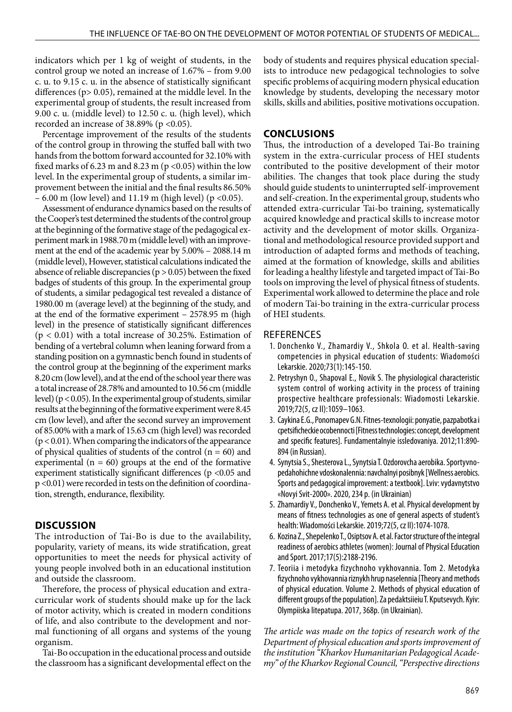indicators which per 1 kg of weight of students, in the control group we noted an increase of 1.67% – from 9.00 c. u. to 9.15 c. u. in the absence of statistically significant differences (p> 0.05), remained at the middle level. In the experimental group of students, the result increased from 9.00 c. u. (middle level) to 12.50 c. u. (high level), which recorded an increase of 38.89% ( $p < 0.05$ ).

Percentage improvement of the results of the students of the control group in throwing the stuffed ball with two hands from the bottom forward accounted for 32.10% with fixed marks of 6.23 m and 8.23 m ( $p$  <0.05) within the low level. In the experimental group of students, a similar improvement between the initial and the final results 86.50% – 6.00 m (low level) and 11.19 m (high level) ( $p < 0.05$ ).

Assessment of endurance dynamics based on the results of the Cooper's test determined the students of the control group at the beginning of the formative stage of the pedagogical experiment mark in 1988.70 m (middle level) with an improvement at the end of the academic year by 5.00% – 2088.14 m (middle level), However, statistical calculations indicated the absence of reliable discrepancies ( $p > 0.05$ ) between the fixed badges of students of this group. In the experimental group of students, a similar pedagogical test revealed a distance of 1980.00 m (average level) at the beginning of the study, and at the end of the formative experiment – 2578.95 m (high level) in the presence of statistically significant differences  $(p < 0.01)$  with a total increase of 30.25%. Estimation of bending of a vertebral column when leaning forward from a standing position on a gymnastic bench found in students of the control group at the beginning of the experiment marks 8.20 cm (low level), and at the end of the school year there was a total increase of 28.78% and amounted to 10.56 cm (middle level) ( $p < 0.05$ ). In the experimental group of students, similar results at the beginning of the formative experiment were 8.45 cm (low level), and after the second survey an improvement of 85.00% with a mark of 15.63 cm (high level) was recorded  $(p < 0.01)$ . When comparing the indicators of the appearance of physical qualities of students of the control  $(n = 60)$  and experimental ( $n = 60$ ) groups at the end of the formative experiment statistically significant differences (p <0.05 and p <0.01) were recorded in tests on the definition of coordination, strength, endurance, flexibility.

## **DISCUSSION**

The introduction of Tai-Bo is due to the availability, popularity, variety of means, its wide stratification, great opportunities to meet the needs for physical activity of young people involved both in an educational institution and outside the classroom.

Therefore, the process of physical education and extracurricular work of students should make up for the lack of motor activity, which is created in modern conditions of life, and also contribute to the development and normal functioning of all organs and systems of the young organism.

Tai-Bo occupation in the educational process and outside the classroom has a significant developmental effect on the body of students and requires physical education specialists to introduce new pedagogical technologies to solve specific problems of acquiring modern physical education knowledge by students, developing the necessary motor skills, skills and abilities, positive motivations occupation.

## **CONCLUSIONS**

Thus, the introduction of a developed Tai-Bo training system in the extra-curricular process of HEI students contributed to the positive development of their motor abilities. The changes that took place during the study should guide students to uninterrupted self-improvement and self-creation. In the experimental group, students who attended extra-curricular Tai-bo training, systematically acquired knowledge and practical skills to increase motor activity and the development of motor skills. Organizational and methodological resource provided support and introduction of adapted forms and methods of teaching, aimed at the formation of knowledge, skills and abilities for leading a healthy lifestyle and targeted impact of Tai-Bo tools on improving the level of physical fitness of students. Experimental work allowed to determine the place and role of modern Tai-bo training in the extra-curricular process of HEI students.

## **REFERENCES**

- 1. Donchenko V., Zhamardiy V., Shkola O. et al. Health-saving competencies in physical education of students: Wiadomości Lekarskie. 2020;73(1):145-150.
- 2. Petryshyn O., Shapoval E., Novik S. The physiological characteristic system control of working activity in the process of training prospective healthcare professionals: Wiadomosti Lekarskie. 2019;72(5, cz II):1059–1063.
- 3. Caykina E.G., Ponomapev G.N. Fitnes-texnologii: ponyatie, pazpabotka i cpetsificheckie ocobennocti [Fitness technologies: concept, development and specific features]. Fundamentalnyie issledovaniya. 2012;11:890- 894 (in Russian).
- 4. Synytsia S., Shesterova L., Synytsia T. Ozdorovcha aerobika. Sportyvnopedahohichne vdoskonalennia: navchalnyi posibnyk [Wellness aerobics. Sports and pedagogical improvement: a textbook]. Lviv: vydavnytstvo «Novyi Svit-2000». 2020, 234 р. (in Ukrainian)
- 5. Zhamardiy V., Donchenko V., Yemets A. et al. Physical development by means of fitness technologies as one of general aspects of student's health: Wiadomości Lekarskie. 2019;72(5, cz IІ):1074-1078.
- 6. Kozina Z., Shepelenko T., Osiptsov A. et al. Factor structure of the integral readiness of aerobics athletes (women): Journal of Physical Education and Sport. 2017;17(5):2188-2196.
- 7. Teoriia i metodyka fizychnoho vykhovannia. Tom 2. Metodyka fizychnoho vykhovannia riznykh hrup naselennia [Theory and methods of physical education. Volume 2. Methods of physical education of different groups of the population]. Za pedaktsiieiu T. Kputsevych. Kyiv: Olympiiska litepatupa. 2017, 368р. (in Ukrainian).

*The article was made on the topics of research work of the Department of physical education and sports improvement of the institution "Kharkov Humanitarian Pedagogical Academy" of the Kharkov Regional Council, "Perspective directions*